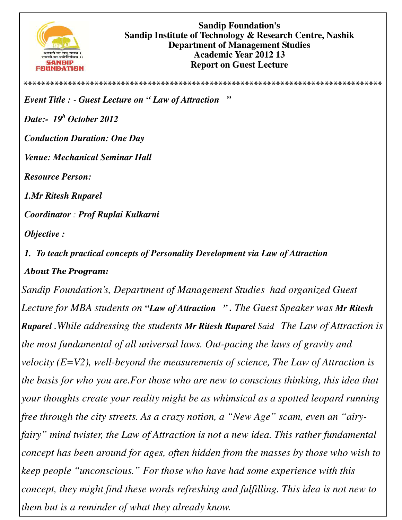

**\*\*\*\*\*\*\*\*\*\*\*\*\*\*\*\*\*\*\*\*\*\*\*\*\*\*\*\*\*\*\*\*\*\*\*\*\*\*\*\*\*\*\*\*\*\*\*\*\*\*\*\*\*\*\*\*\*\*\*\*\*\*\*\*\*\*\*\*\*\*\*\*\*\*\*\*\*\*\*\*\***

*Event Title : - Guest Lecture on " Law of Attraction "* 

*Date:- 19<sup>h</sup> October 2012* 

*Conduction Duration: One Day* 

*Venue: Mechanical Seminar Hall* 

*Resource Person:* 

*1.Mr Ritesh Ruparel* 

*Coordinator : Prof Ruplai Kulkarni* 

*Objective :* 

*1. To teach practical concepts of Personality Development via Law of Attraction About The Program:* 

*Sandip Foundation's, Department of Management Studies had organized Guest Lecture for MBA students on "Law of Attraction " . The Guest Speaker was Mr Ritesh Ruparel .While addressing the students Mr Ritesh Ruparel Said The Law of Attraction is the most fundamental of all universal laws. Out-pacing the laws of gravity and velocity (E=V2), well-beyond the measurements of science, The Law of Attraction is the basis for who you are.For those who are new to conscious thinking, this idea that your thoughts create your reality might be as whimsical as a spotted leopard running free through the city streets. As a crazy notion, a "New Age" scam, even an "airyfairy" mind twister, the Law of Attraction is not a new idea. This rather fundamental concept has been around for ages, often hidden from the masses by those who wish to keep people "unconscious." For those who have had some experience with this concept, they might find these words refreshing and fulfilling. This idea is not new to them but is a reminder of what they already know.*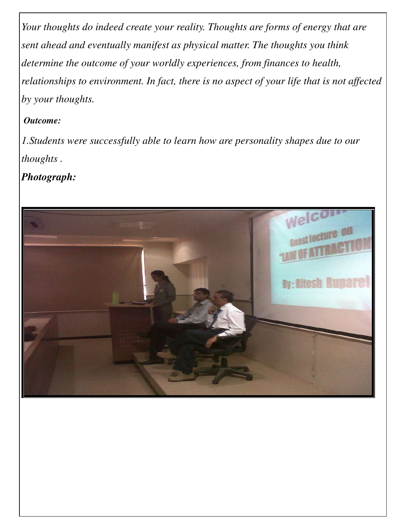*Your thoughts do indeed create your reality. Thoughts are forms of energy that are sent ahead and eventually manifest as physical matter. The thoughts you think determine the outcome of your worldly experiences, from finances to health, relationships to environment. In fact, there is no aspect of your life that is not affected by your thoughts.* 

## *Outcome:*

*1.Students were successfully able to learn how are personality shapes due to our thoughts .*

*Photograph:*